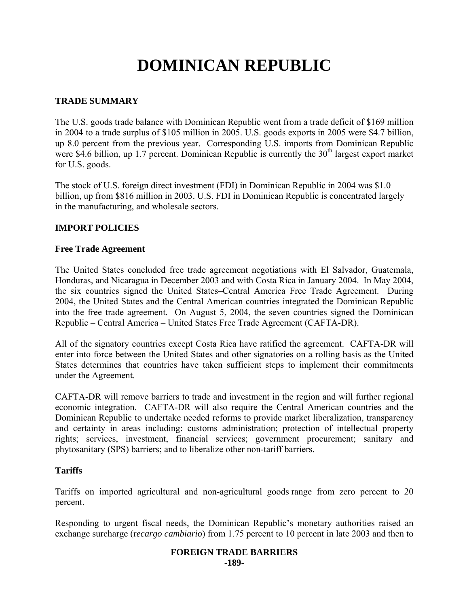# **DOMINICAN REPUBLIC**

# **TRADE SUMMARY**

The U.S. goods trade balance with Dominican Republic went from a trade deficit of \$169 million in 2004 to a trade surplus of \$105 million in 2005. U.S. goods exports in 2005 were \$4.7 billion, up 8.0 percent from the previous year. Corresponding U.S. imports from Dominican Republic were \$4.6 billion, up 1.7 percent. Dominican Republic is currently the  $30<sup>th</sup>$  largest export market for U.S. goods.

The stock of U.S. foreign direct investment (FDI) in Dominican Republic in 2004 was \$1.0 billion, up from \$816 million in 2003. U.S. FDI in Dominican Republic is concentrated largely in the manufacturing, and wholesale sectors.

# **IMPORT POLICIES**

## **Free Trade Agreement**

The United States concluded free trade agreement negotiations with El Salvador, Guatemala, Honduras, and Nicaragua in December 2003 and with Costa Rica in January 2004. In May 2004, the six countries signed the United States–Central America Free Trade Agreement. During 2004, the United States and the Central American countries integrated the Dominican Republic into the free trade agreement. On August 5, 2004, the seven countries signed the Dominican Republic – Central America – United States Free Trade Agreement (CAFTA-DR).

All of the signatory countries except Costa Rica have ratified the agreement. CAFTA-DR will enter into force between the United States and other signatories on a rolling basis as the United States determines that countries have taken sufficient steps to implement their commitments under the Agreement.

CAFTA-DR will remove barriers to trade and investment in the region and will further regional economic integration. CAFTA-DR will also require the Central American countries and the Dominican Republic to undertake needed reforms to provide market liberalization, transparency and certainty in areas including: customs administration; protection of intellectual property rights; services, investment, financial services; government procurement; sanitary and phytosanitary (SPS) barriers; and to liberalize other non-tariff barriers.

#### **Tariffs**

Tariffs on imported agricultural and non-agricultural goods range from zero percent to 20 percent.

Responding to urgent fiscal needs, the Dominican Republic's monetary authorities raised an exchange surcharge (r*ecargo cambiario*) from 1.75 percent to 10 percent in late 2003 and then to

#### **FOREIGN TRADE BARRIERS -189-**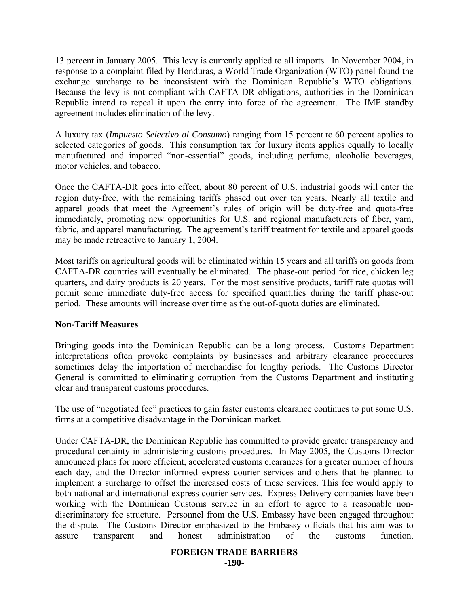13 percent in January 2005. This levy is currently applied to all imports. In November 2004, in response to a complaint filed by Honduras, a World Trade Organization (WTO) panel found the exchange surcharge to be inconsistent with the Dominican Republic's WTO obligations. Because the levy is not compliant with CAFTA-DR obligations, authorities in the Dominican Republic intend to repeal it upon the entry into force of the agreement. The IMF standby agreement includes elimination of the levy.

A luxury tax (*Impuesto Selectivo al Consumo*) ranging from 15 percent to 60 percent applies to selected categories of goods. This consumption tax for luxury items applies equally to locally manufactured and imported "non-essential" goods, including perfume, alcoholic beverages, motor vehicles, and tobacco.

Once the CAFTA-DR goes into effect, about 80 percent of U.S. industrial goods will enter the region duty-free, with the remaining tariffs phased out over ten years. Nearly all textile and apparel goods that meet the Agreement's rules of origin will be duty-free and quota-free immediately, promoting new opportunities for U.S. and regional manufacturers of fiber, yarn, fabric, and apparel manufacturing. The agreement's tariff treatment for textile and apparel goods may be made retroactive to January 1, 2004.

Most tariffs on agricultural goods will be eliminated within 15 years and all tariffs on goods from CAFTA-DR countries will eventually be eliminated. The phase-out period for rice, chicken leg quarters, and dairy products is 20 years. For the most sensitive products, tariff rate quotas will permit some immediate duty-free access for specified quantities during the tariff phase-out period. These amounts will increase over time as the out-of-quota duties are eliminated.

#### **Non-Tariff Measures**

Bringing goods into the Dominican Republic can be a long process. Customs Department interpretations often provoke complaints by businesses and arbitrary clearance procedures sometimes delay the importation of merchandise for lengthy periods. The Customs Director General is committed to eliminating corruption from the Customs Department and instituting clear and transparent customs procedures.

The use of "negotiated fee" practices to gain faster customs clearance continues to put some U.S. firms at a competitive disadvantage in the Dominican market.

Under CAFTA-DR, the Dominican Republic has committed to provide greater transparency and procedural certainty in administering customs procedures. In May 2005, the Customs Director announced plans for more efficient, accelerated customs clearances for a greater number of hours each day, and the Director informed express courier services and others that he planned to implement a surcharge to offset the increased costs of these services. This fee would apply to both national and international express courier services. Express Delivery companies have been working with the Dominican Customs service in an effort to agree to a reasonable nondiscriminatory fee structure. Personnel from the U.S. Embassy have been engaged throughout the dispute. The Customs Director emphasized to the Embassy officials that his aim was to assure transparent and honest administration of the customs function.

#### **FOREIGN TRADE BARRIERS**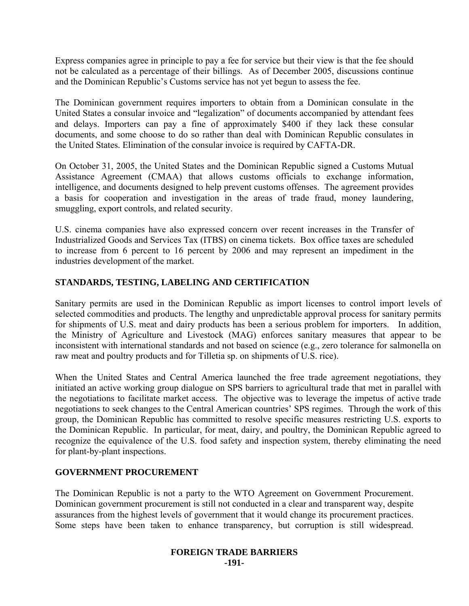Express companies agree in principle to pay a fee for service but their view is that the fee should not be calculated as a percentage of their billings. As of December 2005, discussions continue and the Dominican Republic's Customs service has not yet begun to assess the fee.

The Dominican government requires importers to obtain from a Dominican consulate in the United States a consular invoice and "legalization" of documents accompanied by attendant fees and delays. Importers can pay a fine of approximately \$400 if they lack these consular documents, and some choose to do so rather than deal with Dominican Republic consulates in the United States. Elimination of the consular invoice is required by CAFTA-DR.

On October 31, 2005, the United States and the Dominican Republic signed a Customs Mutual Assistance Agreement (CMAA) that allows customs officials to exchange information, intelligence, and documents designed to help prevent customs offenses. The agreement provides a basis for cooperation and investigation in the areas of trade fraud, money laundering, smuggling, export controls, and related security.

U.S. cinema companies have also expressed concern over recent increases in the Transfer of Industrialized Goods and Services Tax (ITBS) on cinema tickets. Box office taxes are scheduled to increase from 6 percent to 16 percent by 2006 and may represent an impediment in the industries development of the market.

# **STANDARDS, TESTING, LABELING AND CERTIFICATION**

Sanitary permits are used in the Dominican Republic as import licenses to control import levels of selected commodities and products. The lengthy and unpredictable approval process for sanitary permits for shipments of U.S. meat and dairy products has been a serious problem for importers. In addition, the Ministry of Agriculture and Livestock (MAG) enforces sanitary measures that appear to be inconsistent with international standards and not based on science (e.g., zero tolerance for salmonella on raw meat and poultry products and for Tilletia sp. on shipments of U.S. rice).

When the United States and Central America launched the free trade agreement negotiations, they initiated an active working group dialogue on SPS barriers to agricultural trade that met in parallel with the negotiations to facilitate market access. The objective was to leverage the impetus of active trade negotiations to seek changes to the Central American countries' SPS regimes. Through the work of this group, the Dominican Republic has committed to resolve specific measures restricting U.S. exports to the Dominican Republic. In particular, for meat, dairy, and poultry, the Dominican Republic agreed to recognize the equivalence of the U.S. food safety and inspection system, thereby eliminating the need for plant-by-plant inspections.

## **GOVERNMENT PROCUREMENT**

The Dominican Republic is not a party to the WTO Agreement on Government Procurement. Dominican government procurement is still not conducted in a clear and transparent way, despite assurances from the highest levels of government that it would change its procurement practices. Some steps have been taken to enhance transparency, but corruption is still widespread.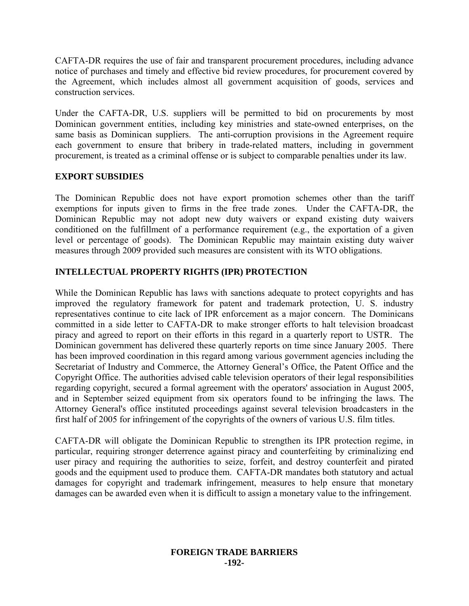CAFTA-DR requires the use of fair and transparent procurement procedures, including advance notice of purchases and timely and effective bid review procedures, for procurement covered by the Agreement, which includes almost all government acquisition of goods, services and construction services.

Under the CAFTA-DR, U.S. suppliers will be permitted to bid on procurements by most Dominican government entities, including key ministries and state-owned enterprises, on the same basis as Dominican suppliers. The anti-corruption provisions in the Agreement require each government to ensure that bribery in trade-related matters, including in government procurement, is treated as a criminal offense or is subject to comparable penalties under its law.

## **EXPORT SUBSIDIES**

The Dominican Republic does not have export promotion schemes other than the tariff exemptions for inputs given to firms in the free trade zones. Under the CAFTA-DR, the Dominican Republic may not adopt new duty waivers or expand existing duty waivers conditioned on the fulfillment of a performance requirement (e.g., the exportation of a given level or percentage of goods). The Dominican Republic may maintain existing duty waiver measures through 2009 provided such measures are consistent with its WTO obligations.

# **INTELLECTUAL PROPERTY RIGHTS (IPR) PROTECTION**

While the Dominican Republic has laws with sanctions adequate to protect copyrights and has improved the regulatory framework for patent and trademark protection, U. S. industry representatives continue to cite lack of IPR enforcement as a major concern. The Dominicans committed in a side letter to CAFTA-DR to make stronger efforts to halt television broadcast piracy and agreed to report on their efforts in this regard in a quarterly report to USTR. The Dominican government has delivered these quarterly reports on time since January 2005. There has been improved coordination in this regard among various government agencies including the Secretariat of Industry and Commerce, the Attorney General's Office, the Patent Office and the Copyright Office. The authorities advised cable television operators of their legal responsibilities regarding copyright, secured a formal agreement with the operators' association in August 2005, and in September seized equipment from six operators found to be infringing the laws. The Attorney General's office instituted proceedings against several television broadcasters in the first half of 2005 for infringement of the copyrights of the owners of various U.S. film titles.

CAFTA-DR will obligate the Dominican Republic to strengthen its IPR protection regime, in particular, requiring stronger deterrence against piracy and counterfeiting by criminalizing end user piracy and requiring the authorities to seize, forfeit, and destroy counterfeit and pirated goods and the equipment used to produce them. CAFTA-DR mandates both statutory and actual damages for copyright and trademark infringement, measures to help ensure that monetary damages can be awarded even when it is difficult to assign a monetary value to the infringement.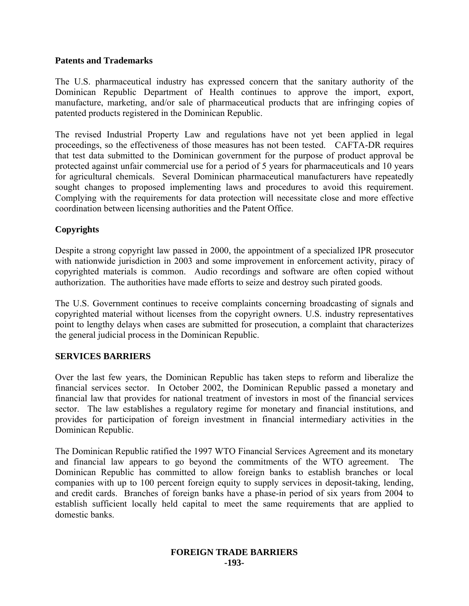#### **Patents and Trademarks**

The U.S. pharmaceutical industry has expressed concern that the sanitary authority of the Dominican Republic Department of Health continues to approve the import, export, manufacture, marketing, and/or sale of pharmaceutical products that are infringing copies of patented products registered in the Dominican Republic.

The revised Industrial Property Law and regulations have not yet been applied in legal proceedings, so the effectiveness of those measures has not been tested. CAFTA-DR requires that test data submitted to the Dominican government for the purpose of product approval be protected against unfair commercial use for a period of 5 years for pharmaceuticals and 10 years for agricultural chemicals. Several Dominican pharmaceutical manufacturers have repeatedly sought changes to proposed implementing laws and procedures to avoid this requirement. Complying with the requirements for data protection will necessitate close and more effective coordination between licensing authorities and the Patent Office.

## **Copyrights**

Despite a strong copyright law passed in 2000, the appointment of a specialized IPR prosecutor with nationwide jurisdiction in 2003 and some improvement in enforcement activity, piracy of copyrighted materials is common. Audio recordings and software are often copied without authorization. The authorities have made efforts to seize and destroy such pirated goods.

The U.S. Government continues to receive complaints concerning broadcasting of signals and copyrighted material without licenses from the copyright owners. U.S. industry representatives point to lengthy delays when cases are submitted for prosecution, a complaint that characterizes the general judicial process in the Dominican Republic.

#### **SERVICES BARRIERS**

Over the last few years, the Dominican Republic has taken steps to reform and liberalize the financial services sector. In October 2002, the Dominican Republic passed a monetary and financial law that provides for national treatment of investors in most of the financial services sector. The law establishes a regulatory regime for monetary and financial institutions, and provides for participation of foreign investment in financial intermediary activities in the Dominican Republic.

The Dominican Republic ratified the 1997 WTO Financial Services Agreement and its monetary and financial law appears to go beyond the commitments of the WTO agreement. The Dominican Republic has committed to allow foreign banks to establish branches or local companies with up to 100 percent foreign equity to supply services in deposit-taking, lending, and credit cards. Branches of foreign banks have a phase-in period of six years from 2004 to establish sufficient locally held capital to meet the same requirements that are applied to domestic banks.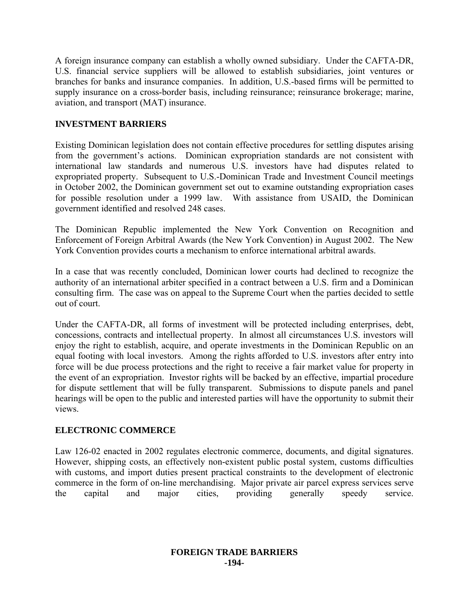A foreign insurance company can establish a wholly owned subsidiary. Under the CAFTA-DR, U.S. financial service suppliers will be allowed to establish subsidiaries, joint ventures or branches for banks and insurance companies. In addition, U.S.-based firms will be permitted to supply insurance on a cross-border basis, including reinsurance; reinsurance brokerage; marine, aviation, and transport (MAT) insurance.

# **INVESTMENT BARRIERS**

Existing Dominican legislation does not contain effective procedures for settling disputes arising from the government's actions. Dominican expropriation standards are not consistent with international law standards and numerous U.S. investors have had disputes related to expropriated property. Subsequent to U.S.-Dominican Trade and Investment Council meetings in October 2002, the Dominican government set out to examine outstanding expropriation cases for possible resolution under a 1999 law. With assistance from USAID, the Dominican government identified and resolved 248 cases.

The Dominican Republic implemented the New York Convention on Recognition and Enforcement of Foreign Arbitral Awards (the New York Convention) in August 2002. The New York Convention provides courts a mechanism to enforce international arbitral awards.

In a case that was recently concluded, Dominican lower courts had declined to recognize the authority of an international arbiter specified in a contract between a U.S. firm and a Dominican consulting firm. The case was on appeal to the Supreme Court when the parties decided to settle out of court.

Under the CAFTA-DR, all forms of investment will be protected including enterprises, debt, concessions, contracts and intellectual property. In almost all circumstances U.S. investors will enjoy the right to establish, acquire, and operate investments in the Dominican Republic on an equal footing with local investors. Among the rights afforded to U.S. investors after entry into force will be due process protections and the right to receive a fair market value for property in the event of an expropriation. Investor rights will be backed by an effective, impartial procedure for dispute settlement that will be fully transparent. Submissions to dispute panels and panel hearings will be open to the public and interested parties will have the opportunity to submit their views.

## **ELECTRONIC COMMERCE**

Law 126-02 enacted in 2002 regulates electronic commerce, documents, and digital signatures. However, shipping costs, an effectively non-existent public postal system, customs difficulties with customs, and import duties present practical constraints to the development of electronic commerce in the form of on-line merchandising. Major private air parcel express services serve the capital and major cities, providing generally speedy service.